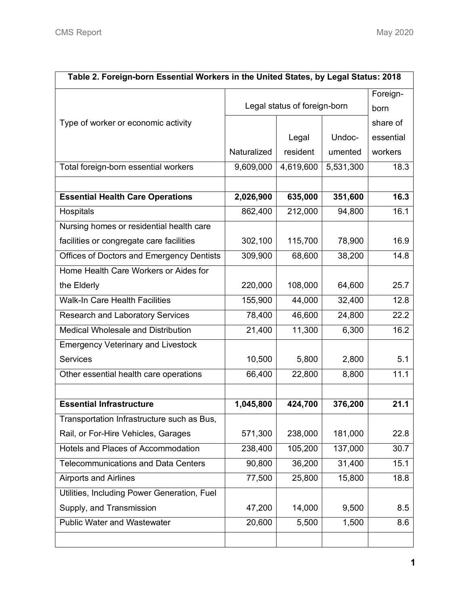| Table 2. Foreign-born Essential Workers in the United States, by Legal Status: 2018 |                              |           |           |           |
|-------------------------------------------------------------------------------------|------------------------------|-----------|-----------|-----------|
|                                                                                     | Legal status of foreign-born |           |           | Foreign-  |
|                                                                                     |                              |           |           | born      |
| Type of worker or economic activity                                                 |                              |           |           | share of  |
|                                                                                     |                              | Legal     | Undoc-    | essential |
|                                                                                     | Naturalized                  | resident  | umented   | workers   |
| Total foreign-born essential workers                                                | 9,609,000                    | 4,619,600 | 5,531,300 | 18.3      |
|                                                                                     |                              |           |           |           |
| <b>Essential Health Care Operations</b>                                             | 2,026,900                    | 635,000   | 351,600   | 16.3      |
| Hospitals                                                                           | 862,400                      | 212,000   | 94,800    | 16.1      |
| Nursing homes or residential health care                                            |                              |           |           |           |
| facilities or congregate care facilities                                            | 302,100                      | 115,700   | 78,900    | 16.9      |
| Offices of Doctors and Emergency Dentists                                           | 309,900                      | 68,600    | 38,200    | 14.8      |
| Home Health Care Workers or Aides for                                               |                              |           |           |           |
| the Elderly                                                                         | 220,000                      | 108,000   | 64,600    | 25.7      |
| <b>Walk-In Care Health Facilities</b>                                               | 155,900                      | 44,000    | 32,400    | 12.8      |
| <b>Research and Laboratory Services</b>                                             | 78,400                       | 46,600    | 24,800    | 22.2      |
| Medical Wholesale and Distribution                                                  | 21,400                       | 11,300    | 6,300     | 16.2      |
| <b>Emergency Veterinary and Livestock</b>                                           |                              |           |           |           |
| <b>Services</b>                                                                     | 10,500                       | 5,800     | 2,800     | 5.1       |
| Other essential health care operations                                              | 66,400                       | 22,800    | 8,800     | 11.1      |
|                                                                                     |                              |           |           |           |
| <b>Essential Infrastructure</b>                                                     | 1,045,800                    | 424,700   | 376,200   | 21.1      |
| Transportation Infrastructure such as Bus,                                          |                              |           |           |           |
| Rail, or For-Hire Vehicles, Garages                                                 | 571,300                      | 238,000   | 181,000   | 22.8      |
| Hotels and Places of Accommodation                                                  | 238,400                      | 105,200   | 137,000   | 30.7      |
| <b>Telecommunications and Data Centers</b>                                          | 90,800                       | 36,200    | 31,400    | 15.1      |
| <b>Airports and Airlines</b>                                                        | 77,500                       | 25,800    | 15,800    | 18.8      |
| Utilities, Including Power Generation, Fuel                                         |                              |           |           |           |
| Supply, and Transmission                                                            | 47,200                       | 14,000    | 9,500     | 8.5       |
| <b>Public Water and Wastewater</b>                                                  | 20,600                       | 5,500     | 1,500     | 8.6       |
|                                                                                     |                              |           |           |           |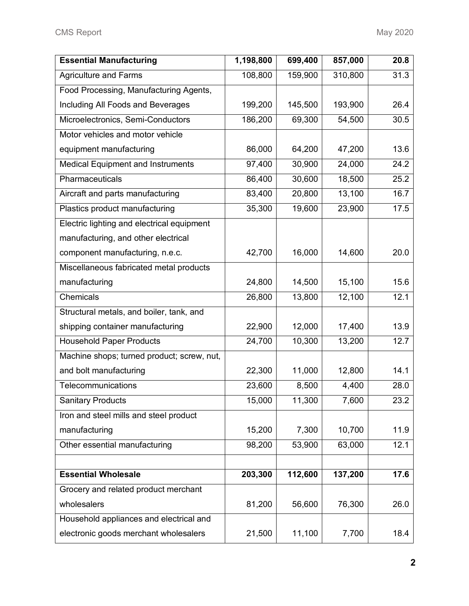| <b>Essential Manufacturing</b>             | 1,198,800 | 699,400 | 857,000 | 20.8 |
|--------------------------------------------|-----------|---------|---------|------|
| <b>Agriculture and Farms</b>               | 108,800   | 159,900 | 310,800 | 31.3 |
| Food Processing, Manufacturing Agents,     |           |         |         |      |
| Including All Foods and Beverages          | 199,200   | 145,500 | 193,900 | 26.4 |
| Microelectronics, Semi-Conductors          | 186,200   | 69,300  | 54,500  | 30.5 |
| Motor vehicles and motor vehicle           |           |         |         |      |
| equipment manufacturing                    | 86,000    | 64,200  | 47,200  | 13.6 |
| <b>Medical Equipment and Instruments</b>   | 97,400    | 30,900  | 24,000  | 24.2 |
| Pharmaceuticals                            | 86,400    | 30,600  | 18,500  | 25.2 |
| Aircraft and parts manufacturing           | 83,400    | 20,800  | 13,100  | 16.7 |
| Plastics product manufacturing             | 35,300    | 19,600  | 23,900  | 17.5 |
| Electric lighting and electrical equipment |           |         |         |      |
| manufacturing, and other electrical        |           |         |         |      |
| component manufacturing, n.e.c.            | 42,700    | 16,000  | 14,600  | 20.0 |
| Miscellaneous fabricated metal products    |           |         |         |      |
| manufacturing                              | 24,800    | 14,500  | 15,100  | 15.6 |
| Chemicals                                  | 26,800    | 13,800  | 12,100  | 12.1 |
| Structural metals, and boiler, tank, and   |           |         |         |      |
| shipping container manufacturing           | 22,900    | 12,000  | 17,400  | 13.9 |
| <b>Household Paper Products</b>            | 24,700    | 10,300  | 13,200  | 12.7 |
| Machine shops; turned product; screw, nut, |           |         |         |      |
| and bolt manufacturing                     | 22,300    | 11,000  | 12,800  | 14.1 |
| Telecommunications                         | 23,600    | 8,500   | 4,400   | 28.0 |
| <b>Sanitary Products</b>                   | 15,000    | 11,300  | 7,600   | 23.2 |
| Iron and steel mills and steel product     |           |         |         |      |
| manufacturing                              | 15,200    | 7,300   | 10,700  | 11.9 |
| Other essential manufacturing              | 98,200    | 53,900  | 63,000  | 12.1 |
|                                            |           |         |         |      |
| <b>Essential Wholesale</b>                 | 203,300   | 112,600 | 137,200 | 17.6 |
| Grocery and related product merchant       |           |         |         |      |
| wholesalers                                | 81,200    | 56,600  | 76,300  | 26.0 |
| Household appliances and electrical and    |           |         |         |      |
| electronic goods merchant wholesalers      | 21,500    | 11,100  | 7,700   | 18.4 |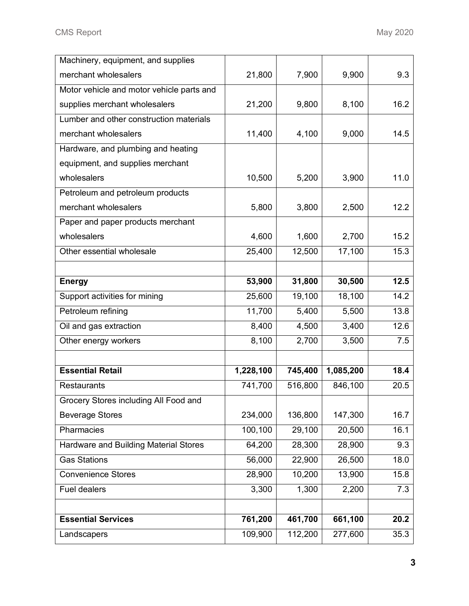| Machinery, equipment, and supplies        |                    |                    |                    |              |
|-------------------------------------------|--------------------|--------------------|--------------------|--------------|
| merchant wholesalers                      | 21,800             | 7,900              | 9,900              | 9.3          |
| Motor vehicle and motor vehicle parts and |                    |                    |                    |              |
| supplies merchant wholesalers             | 21,200             | 9,800              | 8,100              | 16.2         |
| Lumber and other construction materials   |                    |                    |                    |              |
| merchant wholesalers                      | 11,400             | 4,100              | 9,000              | 14.5         |
| Hardware, and plumbing and heating        |                    |                    |                    |              |
| equipment, and supplies merchant          |                    |                    |                    |              |
| wholesalers                               | 10,500             | 5,200              | 3,900              | 11.0         |
| Petroleum and petroleum products          |                    |                    |                    |              |
| merchant wholesalers                      | 5,800              | 3,800              | 2,500              | 12.2         |
| Paper and paper products merchant         |                    |                    |                    |              |
| wholesalers                               | 4,600              | 1,600              | 2,700              | 15.2         |
| Other essential wholesale                 | 25,400             | 12,500             | 17,100             | 15.3         |
|                                           |                    |                    |                    |              |
| <b>Energy</b>                             | 53,900             | 31,800             | 30,500             | 12.5         |
| Support activities for mining             | 25,600             | 19,100             | 18,100             | 14.2         |
| Petroleum refining                        | 11,700             | 5,400              | 5,500              | 13.8         |
| Oil and gas extraction                    | 8,400              | 4,500              | 3,400              | 12.6         |
|                                           |                    |                    |                    |              |
| Other energy workers                      | 8,100              | 2,700              | 3,500              | 7.5          |
|                                           |                    |                    |                    |              |
| <b>Essential Retail</b>                   | 1,228,100          | 745,400            | 1,085,200          | 18.4         |
| <b>Restaurants</b>                        | 741,700            | 516,800            | 846,100            | 20.5         |
| Grocery Stores including All Food and     |                    |                    |                    |              |
| <b>Beverage Stores</b>                    | 234,000            | 136,800            | 147,300            | 16.7         |
| Pharmacies                                | 100,100            | 29,100             | 20,500             | 16.1         |
| Hardware and Building Material Stores     | 64,200             | 28,300             | 28,900             | 9.3          |
| <b>Gas Stations</b>                       | 56,000             | 22,900             | 26,500             | 18.0         |
| <b>Convenience Stores</b>                 | 28,900             | 10,200             | 13,900             | 15.8         |
| <b>Fuel dealers</b>                       | 3,300              | 1,300              | 2,200              | 7.3          |
|                                           |                    |                    |                    |              |
| <b>Essential Services</b>                 | 761,200<br>109,900 | 461,700<br>112,200 | 661,100<br>277,600 | 20.2<br>35.3 |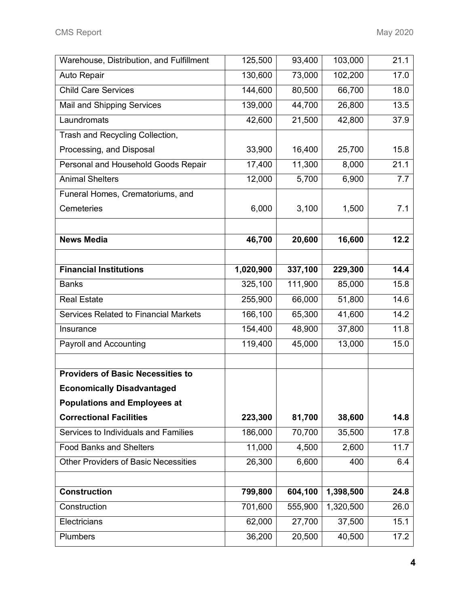| Warehouse, Distribution, and Fulfillment    | 125,500   | 93,400  | 103,000   | 21.1 |
|---------------------------------------------|-----------|---------|-----------|------|
| Auto Repair                                 | 130,600   | 73,000  | 102,200   | 17.0 |
| <b>Child Care Services</b>                  | 144,600   | 80,500  | 66,700    | 18.0 |
| Mail and Shipping Services                  | 139,000   | 44,700  | 26,800    | 13.5 |
| Laundromats                                 | 42,600    | 21,500  | 42,800    | 37.9 |
| Trash and Recycling Collection,             |           |         |           |      |
| Processing, and Disposal                    | 33,900    | 16,400  | 25,700    | 15.8 |
| Personal and Household Goods Repair         | 17,400    | 11,300  | 8,000     | 21.1 |
| <b>Animal Shelters</b>                      | 12,000    | 5,700   | 6,900     | 7.7  |
| Funeral Homes, Crematoriums, and            |           |         |           |      |
| Cemeteries                                  | 6,000     | 3,100   | 1,500     | 7.1  |
|                                             |           |         |           |      |
| <b>News Media</b>                           | 46,700    | 20,600  | 16,600    | 12.2 |
|                                             |           |         |           |      |
| <b>Financial Institutions</b>               | 1,020,900 | 337,100 | 229,300   | 14.4 |
| <b>Banks</b>                                | 325,100   | 111,900 | 85,000    | 15.8 |
| <b>Real Estate</b>                          | 255,900   | 66,000  | 51,800    | 14.6 |
| Services Related to Financial Markets       | 166,100   | 65,300  | 41,600    | 14.2 |
| Insurance                                   | 154,400   | 48,900  | 37,800    | 11.8 |
| <b>Payroll and Accounting</b>               | 119,400   | 45,000  | 13,000    | 15.0 |
|                                             |           |         |           |      |
| <b>Providers of Basic Necessities to</b>    |           |         |           |      |
| <b>Economically Disadvantaged</b>           |           |         |           |      |
| <b>Populations and Employees at</b>         |           |         |           |      |
| <b>Correctional Facilities</b>              | 223,300   | 81,700  | 38,600    | 14.8 |
| Services to Individuals and Families        | 186,000   | 70,700  | 35,500    | 17.8 |
| <b>Food Banks and Shelters</b>              | 11,000    | 4,500   | 2,600     | 11.7 |
| <b>Other Providers of Basic Necessities</b> | 26,300    | 6,600   | 400       | 6.4  |
|                                             |           |         |           |      |
| <b>Construction</b>                         | 799,800   | 604,100 | 1,398,500 | 24.8 |
| Construction                                | 701,600   | 555,900 | 1,320,500 | 26.0 |
| Electricians                                | 62,000    | 27,700  | 37,500    | 15.1 |
| Plumbers                                    | 36,200    | 20,500  | 40,500    | 17.2 |